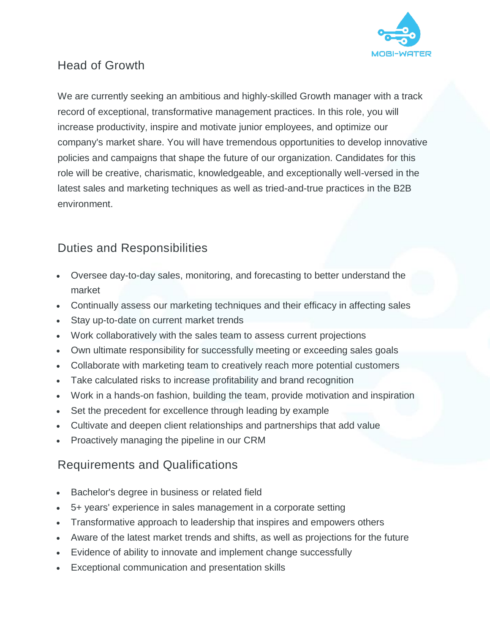

## Head of Growth

We are currently seeking an ambitious and highly-skilled Growth manager with a track record of exceptional, transformative management practices. In this role, you will increase productivity, inspire and motivate junior employees, and optimize our company's market share. You will have tremendous opportunities to develop innovative policies and campaigns that shape the future of our organization. Candidates for this role will be creative, charismatic, knowledgeable, and exceptionally well-versed in the latest sales and marketing techniques as well as tried-and-true practices in the B2B environment.

# Duties and Responsibilities

- Oversee day-to-day sales, monitoring, and forecasting to better understand the market
- Continually assess our marketing techniques and their efficacy in affecting sales
- Stay up-to-date on current market trends
- Work collaboratively with the sales team to assess current projections
- Own ultimate responsibility for successfully meeting or exceeding sales goals
- Collaborate with marketing team to creatively reach more potential customers
- Take calculated risks to increase profitability and brand recognition
- Work in a hands-on fashion, building the team, provide motivation and inspiration
- Set the precedent for excellence through leading by example
- Cultivate and deepen client relationships and partnerships that add value
- Proactively managing the pipeline in our CRM

### Requirements and Qualifications

- Bachelor's degree in business or related field
- 5+ years' experience in sales management in a corporate setting
- Transformative approach to leadership that inspires and empowers others
- Aware of the latest market trends and shifts, as well as projections for the future
- Evidence of ability to innovate and implement change successfully
- Exceptional communication and presentation skills